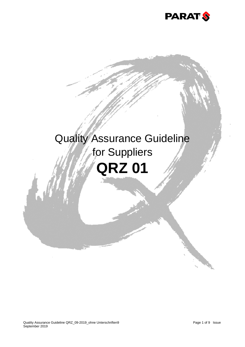

# Quality Assurance Guideline for Suppliers **QRZ 01**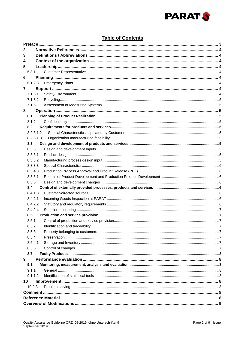

# **Table of Contents**

| 2              |           |                                  |   |  |  |  |  |
|----------------|-----------|----------------------------------|---|--|--|--|--|
| 3              |           |                                  |   |  |  |  |  |
| 4              |           |                                  |   |  |  |  |  |
| 5              |           |                                  |   |  |  |  |  |
|                | 5.3.1     |                                  |   |  |  |  |  |
| 6              |           |                                  |   |  |  |  |  |
|                | 6.1.2.3   |                                  |   |  |  |  |  |
| $\overline{7}$ |           |                                  |   |  |  |  |  |
|                | 7.1.3.1   |                                  |   |  |  |  |  |
|                | 7.1.3.2   |                                  |   |  |  |  |  |
|                | 7.1.5     |                                  |   |  |  |  |  |
| 8              |           |                                  |   |  |  |  |  |
|                | 8.1       |                                  |   |  |  |  |  |
|                | 8.1.2     |                                  |   |  |  |  |  |
|                | 8.2       |                                  |   |  |  |  |  |
|                | 8.2.3.1.2 |                                  |   |  |  |  |  |
|                | 8.2.3.1.3 |                                  |   |  |  |  |  |
|                | 8.3       |                                  |   |  |  |  |  |
|                | 8.3.3     |                                  |   |  |  |  |  |
|                | 8.3.3.1   |                                  |   |  |  |  |  |
|                | 8.3.3.2   |                                  |   |  |  |  |  |
|                | 8.3.3.3   |                                  |   |  |  |  |  |
|                | 8.3.4.3   |                                  |   |  |  |  |  |
|                | 8.3.5.1   |                                  |   |  |  |  |  |
|                | 8.3.6     |                                  |   |  |  |  |  |
|                | 8.4       |                                  |   |  |  |  |  |
|                | 8.4.1.3   |                                  |   |  |  |  |  |
|                | 8.4.2.1   |                                  |   |  |  |  |  |
|                | 8.4.2.2   |                                  |   |  |  |  |  |
|                | 8.4.2.4   |                                  |   |  |  |  |  |
|                | 8.5       |                                  |   |  |  |  |  |
|                | 8.5.1     |                                  |   |  |  |  |  |
|                | 852       | Identification and traceability. | 7 |  |  |  |  |
|                | 8.5.3     |                                  |   |  |  |  |  |
|                | 8.5.4     |                                  |   |  |  |  |  |
|                | 8.5.4.1   |                                  |   |  |  |  |  |
|                | 8.5.6     |                                  |   |  |  |  |  |
|                | 8.7       |                                  |   |  |  |  |  |
| 9              |           |                                  |   |  |  |  |  |
|                | 9.1       |                                  |   |  |  |  |  |
|                | 9.1.1     |                                  |   |  |  |  |  |
|                | 9.1.1.2   |                                  |   |  |  |  |  |
| 10             |           |                                  |   |  |  |  |  |
|                | 10.2.3    |                                  |   |  |  |  |  |
|                |           |                                  |   |  |  |  |  |
|                |           |                                  |   |  |  |  |  |
|                |           |                                  |   |  |  |  |  |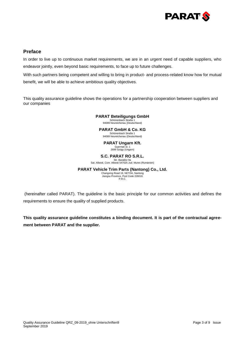

# **Preface**

In order to live up to continuous market requirements, we are in an urgent need of capable suppliers, who endeavor jointly, even beyond basic requirements, to face up to future challenges.

With such partners being competent and willing to bring in product- and process-related know how for mutual benefit, we will be able to achieve ambitious quality objectives.

This quality assurance guideline shows the operations for a partnership cooperation between suppliers and our companies

## **PARAT Beteiligungs GmbH**

Schönenbach Straße 1 94089 Neureichenau (Deutschland)

**PARAT GmbH & Co. KG**

Schönenbach Straße 1 94089 Neureichenau (Deutschland)

# **PARAT Ungarn Kft.**

Gyarmati út. 1 2699 Szügy (Ungarn)

# **S.C. PARAT RO S.R.L.**

Str. Baratilor 8a Sat. Albesti, Com. Albesti 547025 Jud. Mures (Rumänien)

## **PARAT Vehicle Trim Parts (Nantong) Co., Ltd.**

Changxing Road 19, NETDA, Nantong Jiangsu Province, Post Code 226016 P.R.C.

(hereinafter called PARAT). The guideline is the basic principle for our common activities and defines the requirements to ensure the quality of supplied products.

**This quality assurance guideline constitutes a binding document. It is part of the contractual agreement between PARAT and the supplier.**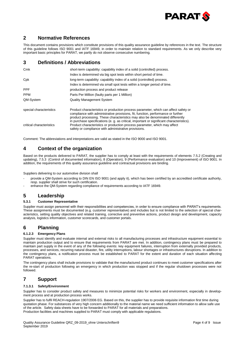

# **2 Normative References**

This document contains provisions which constitute provisions of this quality assurance guideline by references in the text. The structure of this guideline follows ISO 9001 and IATF 16949, in order to maintain relation to standard requirements. As we only describe very important basic principles for PARAT, we partly do not observe consecutive numbering.

# **3 Definitions / Abbreviations**

| Cmk                      | short-term capability: capability index of a solid (controlled) process.                                                                                                                                                                                 |  |  |
|--------------------------|----------------------------------------------------------------------------------------------------------------------------------------------------------------------------------------------------------------------------------------------------------|--|--|
|                          | Index is determined via big spot tests within short period of time.                                                                                                                                                                                      |  |  |
| Cpk                      | long-term capability: capability index of a solid (controlled) process.                                                                                                                                                                                  |  |  |
|                          | Index is determined via small spot tests within a longer period of time.                                                                                                                                                                                 |  |  |
| <b>PPF</b>               | production process and product release                                                                                                                                                                                                                   |  |  |
| <b>PPM</b>               | Parts Per Million (faulty parts per 1 Million)                                                                                                                                                                                                           |  |  |
| QM-System                | <b>Quality Management System</b>                                                                                                                                                                                                                         |  |  |
| special characteristics  | Product characteristics or production process parameter, which can affect safety or<br>compliance with administrative provisions, fit, function, performance or further<br>product processing. These characteristics may also be denominated differently |  |  |
| critical characteristics | in purchase specifications (e. q. as critical, important or significant characteristics).<br>Product characteristics or production process parameter, which may affect<br>safety or compliance with administrative provisions.                           |  |  |

Comment: The abbreviations and interpretations are valid as stated in the ISO 9000 and ISO 9001.

# **4 Context of the organization**

Based on the products delivered to PARAT, the supplier has to comply at least with the requirements of elements 7.5.2 (Creating and updating), 7.5.3 (Control of documented information), 8 (Operation), 9 (Performance evaluation) and 10 (Improvement) of ISO 9001. In addition, the requirements of this quality assurance guideline and contractual provisions are binding.

Suppliers delivering to our automotive division shall

- provide a QM-System according to DIN EN ISO 9001 (and apply it), which has been certified by an accredited certificate authority, resp. supplier shall strive for such certification.
- enhance the QM-System regarding compliance of requirements according to IATF 16949.

## **5 Leadership**

## **5.3.1 Customer Representative**

Supplier must assign personnel with their responsibilities and competencies, in order to ensure compliance with PARAT's requirements. These assignments must be documented (e.g. customer representative) and includes but is not limited to the selection of special characteristics, setting quality objectives and related training, corrective and preventive actions, product design and development, capacity analysis, logistics information, customer scorecards, and customer portals.

# **6 Planning**

## **6.1.2.3 Emergency Plans**

Supplier must identify and evaluate internal and external risks to all manufacturing processes and infrastructure equipment essential to maintain production output and to ensure that requirements from PARAT are met. In addition, contingency plans must be prepared to maintain part supply in the event of any of the following events: key equipment failures, interruption from externally provided products, processes, and services, recurring natural disaster, fire, utility interruptions, labour shortages or infrastructures disruptions. In addition to the contingency plans, a notification process must be established to PARAT for the extent and duration of each situation affecting PARAT operations.

The contingency plans shall include provisions to validate that the manufactured product continues to meet customer specifications after the re-start of production following an emergency in which production was stopped and if the regular shutdown processes were not followed.

# **7 Support**

## **7.1.3.1 Safety/Environment**

Supplier has to consider product safety and measures to minimize potential risks for workers and environment, especially in development process and at production process works.

Supplier has to fulfil REACH-regulation 1907/2006 EG. Based on this, the supplier has to provide requisite information first time during quotation phase. For substances of very high concern additionally to the material name we need sufficient information to allow safe use of the article. Safety data sheets have to be forwarded to PARAT for all materials and preparations. Production facilities and machines supplied to PARAT must comply with applicable regulations.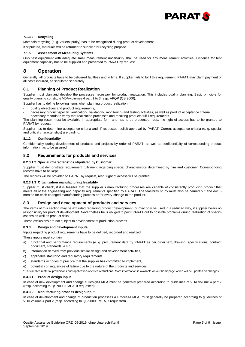

## **7.1.3.2 Recycling**

Materials recycling (e. g. varietal purity) has to be recognized during product development.

If stipulated, materials will be returned to supplier for recycling purpose.

#### **7.1.5 Assessment of Measuring Systems**

Only test equipment with adequate small measurement uncertainty shall be used for any measurement activities. Evidence for test equipment capability has to be supplied and presented to PARAT by request.

# **8 Operation**

Generally, all products have to be delivered faultless and in time. If supplier fails to fulfil this requirement, PARAT may claim payment of all costs incurred, as stipulated separately.

## **8.1 Planning of Product Realization**

Supplier must plan and develop the processes necessary for product realization. This includes quality planning. Basic principle for quality planning constitute VDA-volumes 4 part 1 to 3 resp. APQP (QS 9000).

Supplier has to define following items when planning product realization:

- quality objectives and product requirements,
- necessary product-specific verification-, validation-, monitoring- and testing activities, as well as product acceptance criteria,

- necessary records to verify that realization processes and resulting products fulfill requirements.

The planning result must be available in appropriate form and has to be presented, resp. the right of access has to be granted to PARAT by request.

Supplier has to determine acceptance criteria and, if requested, solicit approval by PARAT. Current acceptance criteria (e. g. special and critical characteristics) are binding.

#### **8.1.2 Confidentiality**

Confidentiality during development of products and projects by order of PARAT, as well as confidentiality of corresponding product information has to be assured.

## **8.2 Requirements for products and services**

#### **8.2.3.1.2 Special Characteristics stipulated by Customer**

Supplier must demonstrate requirement fulfillment regarding special characteristics determined by him and customer. Corresponding records have to be kept.

The records will be provided to PARAT by request, resp. right of access will be granted.

#### **8.2.3.1.3 Organization manufacturing feasibility**

Supplier must check, if it is feasible that the supplier`s manufacturing processes are capable of consistently producing product that meets all of the engineering and capacity requirements specified by PARAT. The feasibility study must also be carried out and documented for each changed manufacturing process or for every change to the product.

## **8.3 Design and development of products and services**

The items of this section may be excluded regarding product development, or may only be used in a reduced way, if supplier bears no responsibility for product development. Nevertheless he is obliged to point PARAT out to possible problems during realization of specifications as well as product risks.

These exclusions are not subject to development of production process.

#### **8.3.3 Design and development Inputs**

Inputs regarding product requirements have to be defined, recorded and realized.

These inputs must contain:

- a) functional and performance requirements (e. g. procurement data by PARAT as per order text, drawing, specifications, contract document, standards, a.s.o.),
- b) information derived from previous similar design and development activities,
- c) applicable statutory\* and regulatory requirements,
- d) standards or codes of practice that the supplier has committed to implement,
- e) potential consequences of failure due to the nature of the products and services.

\* This implies material prohibitions and application-oriented restrictions. More information is available on our homepage which will be updated on changes.

#### **8.3.3.1 Product design input**

In case of new development and change a Design-FMEA must be generally prepared according to guidelines of VDA volume 4 part 2 (resp. according to QS 9000:FMEA, if requested).

#### **8.3.3.2 Manufacturing process design input**

In case of development and change of production processes a Process-FMEA must generally be prepared according to guidelines of VDA volume 4 part 2 (resp. according to QS 9000:FMEA, if requested).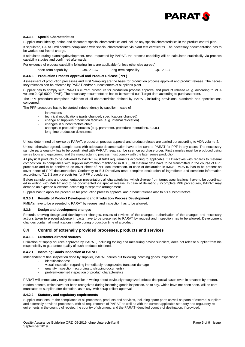

#### **8.3.3.3 Special Characteristics**

Supplier must identify, define and document special characteristics and include any special characteristics in the product control plan.

If stipulated, PARAT will confirm compliance with special characteristics via plant test certificates. The necessary documentation has to be worked out free of charge.

If stipulated during planning/development, resp. requested by PARAT, the process capability will be calculated statistically via process capability studies and confirmed afterwards.

For evidence of process capability following limits are applicable (unless otherwise agreed):

short-term capability Cmk  $\geq 1.67$  long-term capability Cpk  $\geq 1.33$ 

#### **8.3.4.3 Production Process Approval and Product Release (PPF)**

Assessment of production processes and First Sampling are the basis for production process approval and product release. The necessary releases can be effected by PARAT and/or our customers at supplier's plant.

Supplier has to comply with PARAT's current procedure for production process approval and product release (e. g. according to VDA volume 2, QS 9000:PPAP). The necessary documentation has to be worked out. Target date according to purchase order.

The PPF-procedure comprises evidence of all characteristics defined by PARAT, including provisions, standards and specifications concerned.

The PPF-procedure has to be started independently by supplier in case of

- innovations
- technical modifications (parts changed, specifications changed)
- change at suppliers production facilities (e. g. internal relocation)
- changes in subcontractors chain
- changes in production process (e. g. parameter, procedure, operations, a.s.o.)
- long-time production downtimes.

Unless determined otherwise by PARAT, production process approval and product release are carried out according to VDA volume 2.

Unless otherwise agreed, sample parts with adequate documentation have to be sent to PARAT for PPF in any cases. The necessary sample parts quantity has to be coordinated with PARAT, resp. can be seen on purchase order. First samples must be produced using series tools and equipment, and the manufacturing process must comply with the later series production.

All physical products to be delivered to PARAT must fulfill requirements according to applicable EU Directives with regards to material composition. In compliance with supplier information mentioned in 8.3.3, all material data have to be transmitted in the course of PPF procedure and to be confirmed on cover sheet of PPF documentation. In case of declaration in IMDS, IMDS-ID has to be present on cover sheet of PPF documentation. Conformity to EU Directives resp. complete declaration of ingredients and complete information according to 7.1.3.1 are prerequisites for PPF procedures.

Before sample parts and documentation presentation, all characteristics, which diverge from target specifications, have to be coordinated in writing with PARAT and to be documented via special release. In case of deviating / incomplete PPF procedures, PARAT may demand an expense allowance according to separate arrangement.

Supplier has to apply the procedure for production process approval and product release also to his subcontractors.

#### **8.3.5.1 Results of Product Development and Production Process Development**

FMEA's have to be presented to PARAT by request and inspection has to be allowed.

#### **8.3.6 Design and development changes**

Records showing design and development changes, results of reviews of the changes, authorization of the changes and necessary actions taken to prevent adverse impacts have to be presented to PARAT by request and inspection has to be allowed. Development changes contain all modifications made during production time of a product.

## **8.4 Control of externally provided processes, products and services**

#### **8.4.1.3 Customer-directed sources**

Utilization of supply sources approved by PARAT, including tooling and measuring device suppliers, does not release supplier from his responsibility to guarantee quality of such products obtained.

#### **8.4.2.1 Incoming Goods Inspection at PARAT**

Independent of final inspection done by supplier, PARAT carries out following incoming goods inspections:

- identification test
- visual inspection regarding immediately recognizable transport damage
- quantity inspection (according to shipping documents)
- problem-oriented inspection of product characteristics

PARAT will immediately notify the supplier in writing about obviously recognized defects (in special cases even in advance by phone). Hidden defects, which have not been recognized during incoming goods inspection, as to say, which have not been seen, will be communicated to supplier after detection, as to say, with scrap collect approval.

#### **8.4.2.2 Statutory and regulatory requirements**

Supplier must ensure the compliance of all processes, products and services, including spare parts as well as parts of external suppliers and externally provided processes, with all requirements of PARAT as well as with the current applicable statutory and regulatory requirements in the country of receipt, the country of shipment, and the PARAT-identified country of destination, if provided.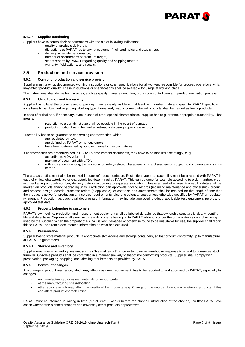

#### **8.4.2.4 Supplier monitoring**

Suppliers have to control their performances with the aid of following indicators:

- quality of products delivered,
	- disruptions at PARAT, as to say, at customer (incl. yard holds and stop ships),
	- delivery schedule performance.
	- number of occurrences of premium freight,
	- status reports by PARAT regarding quality and shipping matters,
- warranty, field actions, and recalls.

#### **8.5 Production and service provision**

#### **8.5.1 Control of production and service provision**

Supplier must draw up documented working instructions or other specifications for all workers responsible for process operations, which may affect product quality. These instructions or specifications shall be available for usage at working place.

The instructions shall derive from sources, such as quality management plan, production control plan and product realization process.

#### **8.5.2 Identification and traceability**

Supplier has to label the products and/or packaging units clearly visible with at least part number, date and quantity. PARAT specifications have to be observed regarding labelling type. Unmarked, resp. incorrect labelled products shall be treated as faulty products.

In case of critical and, if necessary, even in case of other special characteristics, supplier has to guarantee appropriate traceability. That means,

- restriction to a certain lot size shall be possible in the event of damage.
- product condition has to be verified retroactively using appropriate records.

Traceability has to be guaranteed concerning characteristics, which

- are regulated by law,
- are defined by PARAT or her customers,
- have been determined by supplier himself in his own interest.

If characteristics are predetermined in PARAT's procurement documents, they have to be labelled accordingly, e. g.

- according to VDA volume 1
- marking of document with a "D",
- with indication in writing, that a critical or safety-related characteristic or a characteristic subject to documentation is concerned.

The characteristics must also be marked in supplier's documentation. Restriction type and traceability must be arranged with PARAT in case of critical characteristics or characteristics determined by PARAT. This can be done for example according to order number, product, packaging unit, job number, delivery date or according to separate stipulation. Unless agreed otherwise, traceability data shall be marked on products and/or packaging units. Production part approvals, tooling records (including maintenance and ownership), product and process design records, purchase orders (if applicable), or contracts and amendments shall be retained for the length of time that the product is active for production and service requirements, plus one calendar year, unless otherwise specified by PARAT or regulatory agency. Production part approval documented information may include approved product, applicable test equipment records, or approved test data.

#### **8.5.3 Property belonging to customers**

PARAT's own tooling, production and measurement equipment shall be labeled durable, so that ownership structure is clearly identifiable and detectable. Supplier shall exercise care with property belonging to PARAT while it is under the organization`s control or being used by the supplier. When the property of PARAT is lost, damaged or otherwise found to be unsuitable for use, the supplier shall report this to PARAT and retain documented information on what has occurred.

#### **8.5.4 Preservation**

Supplier has to store material products in appropriate stockrooms and storage containers, so that product conformity up to manufacture at PARAT is guaranteed.

#### **8.5.4.1 Storage and Inventory**

Supplier must use an inventory system, such as "first-in/first-out", in order to optimize warehouse response time and to guarantee stock turnover. Obsolete products shall be controlled in a manner similarly to that of nonconforming products. Supplier shall comply with preservation, packaging, shipping, and labelling requirements as provided by PARAT.

#### **8.5.6 Control of changes**

Any change in product realization, which may affect customer requirement, has to be reported to and approved by PARAT, especially by changes:

- on manufacturing processes, materials or vendor parts,
- at the manufacturing site (relocation),
- other actions which may affect the quality of the products, e.g. Change of the source of supply of upstream products, if this can affect product characteristics.

PARAT must be informed in writing in time (but at least 8 weeks before the planned introduction of the change), so that PARAT can check whether the planned changes can adversely affect products or processes.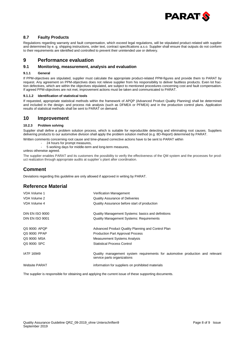

## **8.7 Faulty Products**

Regulations regarding warranty and fault compensation, which exceed legal regulations, will be stipulated product-related with supplier and determined by e. g. shipping instructions, order text, contract specifications a.s.o. Supplier shall ensure that outputs do not conform to their requirements are identified and controlled to prevent their unintended use or delivery.

# **9 Performance evaluation**

## **9.1 Monitoring, measurement, analysis and evaluation**

#### **9.1.1 General**

If PPM-objectives are stipulated, supplier must calculate the appropriate product-related PPM-figures and provide them to PARAT by request. Any agreement on PPM-objectives does not relieve supplier from his responsibility to deliver faultless products. Even lot fraction defectives, which are within the objectives stipulated, are subject to mentioned procedures concerning cost and fault compensation. If agreed PPM-objectives are not met, improvement actions must be taken and communicated to PARAT.

#### **9.1.1.2 Identification of statistical tools**

If requested, appropriate statistical methods within the framework of APQP (Advanced Product Quality Planning) shall be determined and included in the design- and process risk analysis (such as DFMEA or PFMEA) and in the production control plans. Application results of statistical methods shall be sent to PARAT on demand.

## **10 Improvement**

## **10.2.3 Problem solving**

Supplier shall define a problem solution process, which is suitable for reproducible detecting and eliminating root causes. Suppliers delivering products to our automotive division shall apply the problem solution method (e.g. 8D-Report) determined by PARAT.

- Written comments concerning root cause and time-phased corrective actions have to be sent to PARAT within
	- 24 hours for prompt measures,
		- 5 working days for middle-term and long-term measures,

## unless otherwise agreed.

The supplier enables PARAT and its customers the possibility to verify the effectiveness of the QM system and the processes for product realization through appropriate audits at supplier`s plant after coordination.

# **Comment**

Deviations regarding this guideline are only allowed if approved in writing by PARAT.

# **Reference Material**

| VDA Volume 1           | Verification Management                                                                                      |
|------------------------|--------------------------------------------------------------------------------------------------------------|
| VDA Volume 2           | <b>Quality Assurance of Deliveries</b>                                                                       |
| VDA Volume 4           | Quality Assurance before start of production                                                                 |
| <b>DIN EN ISO 9000</b> | Quality Management Systems: basics and definitions                                                           |
| <b>DIN EN ISO 9001</b> | <b>Quality Management Systems: Requirements</b>                                                              |
| QS 9000: APQP          | Advanced Product Quality Planning and Control Plan                                                           |
| QS 9000: PPAP          | <b>Production Part Approval Process</b>                                                                      |
| QS 9000: MSA           | <b>Measurement Systems Analysis</b>                                                                          |
| QS 9000: SPC           | <b>Statistical Process Control</b>                                                                           |
| IATF 16949             | Quality management system requirements for automotive production and relevant<br>service parts organizations |
| <b>Website PARAT</b>   | information for suppliers on prohibited materials                                                            |

The supplier is responsible for obtaining and applying the current issue of these supporting documents.